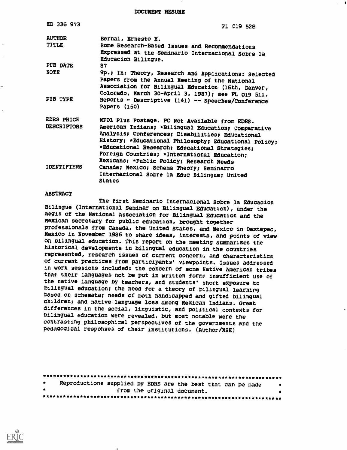DOCUMENT RESUME

| ED 336 973         | FL 019 528                                                                                               |
|--------------------|----------------------------------------------------------------------------------------------------------|
| <b>AUTHOR</b>      | Bernal, Ernesto N.                                                                                       |
| TITLE              | Some Research-Based Issues and Recommendations                                                           |
|                    | Expressed at the Seminario Internacional Sobre la<br>Educacion Bilingue.                                 |
| PUB DATE           | 87                                                                                                       |
| <b>NOTE</b>        | 9p.; In: Theory, Research and Applications: Selected<br>Papers from the Annual Meeting of the National   |
|                    | Association for Bilingual Education (16th, Denver,                                                       |
| PUB TYPE           | Colorado, March 30-April 3, 1987); see FL 019 511.<br>Reports - Descriptive (141) -- Speeches/Conference |
|                    | Papers (150)                                                                                             |
| <b>EDRS PRICE</b>  | MFOl Plus Postage. PC Not Available from EDRS.                                                           |
| <b>DESCRIPTORS</b> | American Indians; *Bilingual Education; Comparative                                                      |
|                    | Analysis; Conferences; Disabilities; Educational                                                         |
|                    | History; *Educational Philosophy; Educational Policy;                                                    |
|                    | *Educational Research; Educational Strategies;                                                           |
|                    | Foreign Countries; *International Education;                                                             |
| <b>IDENTIFIERS</b> | Mexicans; *Public Policy; Research Needs                                                                 |
|                    | Canada; Nexico; Schema Theory; Seminarro                                                                 |
|                    | Internacional Sobre la Educ Bilingue; United<br><b>States</b>                                            |

#### ABSTRACT

The first Seminario Internacional Sobre la Educacion Bilingue (International Seminar on Bilingual Education), under the aegis of the National Association for Bilingual Education and the Mexican secretary for public education, brought together professionals from Canada, the United States, and Mexico in Oaxtepec, Mexico in November 1986 to share ideas, interests, and points of view on bilingual education. This report on the meeting summarizes the historical developments in bilingual education in the countries represented, research issues of current concern, and characteristics of current practices from participants' viewpoints. Issues addressed in work sessions included: the concern of some Native American tribes that their languages not be put in written form; insufficient use of the native language by teachers, and students' short exposure to bilingual education; the need for a theory of bilingual learning based on schemata; needs of both handicapped and gifted bilingual children; and native language loss among Mexican Indians. Great differences in the social, linguistic, and political contexts for bilingual education were revealed, but most notable were the contrasting philosophical perspectives of the governments and the pedagogical responses of their institutions. (Author/MSE)

| $\bullet$ |  | Reproductions supplied by EDRS are the best that can be made |  |
|-----------|--|--------------------------------------------------------------|--|
| $\bullet$ |  | from the original document.                                  |  |

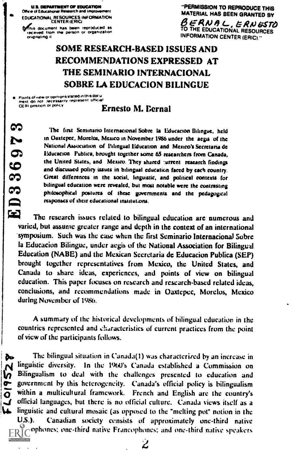U.S. DEPARTMENT OF EDUCATION Office of Educational Research and Improvement EDUCATIONAL RESOURCES INFORMATION CENTER (ERICI

ftiac document has been reproduced as a received from the person of organization ongifkiii,110 it

"PERMISSION TO REPRODUCE THIS

MATERIAL HAS BEEN GRANTED BY<br>BERNAL, ERNESTO TO THE EDUCATIONAL RESOURCES INFORMATION CENTER (ERIC)

# SOME RESEARCH-BASED ISSUES AND RECOMMENDATIONS EXPRESSED AT THE SEMINARIO INTERNACIONAL SOBRE LA EDUCACION BILINGUE

Poin of opnlans stated al erns dor u ment do not increaserly represent official

#### Ernesto M. Dernal

fltc first Seminario Internacional Sobre la Education Bilingue, held in Oaxtepec, Morelos, Mexico in November 1986 under the aegis of the<br>National Association of Bilingual Education and Mexico's Secretaria de In Oaxtepec, Morelos, Mexico in November 1986 under the aegis of the<br>National Association of Pilingual Education and Mexico's Secretaria de<br>Educacion Publica, brought together some 65 researchers from Canada,<br>the United St the United States, and Mexico. They shared :urrent research findings and discussed policy issues in bilingual cducatiun fared by each country. Great differences in the social, linguistic, and political contexts for bilingual education were revealed, but most notable were the contrasting bilingual education were revealed, but most notable were the contrasting<br>philosophical postures of these governments and the pedagogical<br>responses of their educational institutions.<br>The research issues related to bilingual responses of their educational institutions.

The research issues related to bilingual education are numerous and varied, but assume greater range and depth in the context of an international 'symposium. Such was the case when the first Seminario Internacional Sobre la Educacion Bilingue, under aegis of the National Association for Bilingual Education (NABE) and the Mexican Seeretaria dc Educacion Publica (SEP) brought together representatives from Mexico, the United States, and Canada to share ideas, experiences, and points of view on bilingual education. This paper focuses on research and research-based related ideas, conclusions, and recommendations made in Oaxtepec, Morelos, Mexico during November of 1980.

A summary of the historical developments of bilingual education in the countries represented and characteristics of current practices from the point of view of the participants follows.

The bilingual situation in Canada(1) was characterized by an increase in **Pair is a set of the bingual situation in Canada(1)** was characterized by an increase in<br> **N** linguistic diversity. In the 1960's Canada established a Commission on<br> **N** Bilingualism to deal with the challenges presented Bilingualism to deal with the challenges presented to education and government by this heterogeneity. Canada's official policy is bilingualism within a multicultural framework. French and English are the country's official languages, hut there is no official culture. Canada views itself as a  $\mathcal{A}$  linguistic and cultural mosaic (as opposed to the "melting pot" notion in the U.S.). Canadian society consists of approximately one-third native Anglophones: one-third native Francophones: and one-third native speakers

لےٰ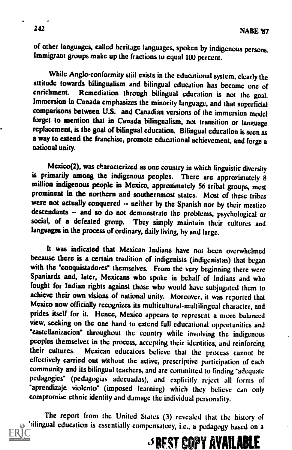of other languages, called heritage languages, spoken by indigenous persons. Immigrant groups make up the fractionsto equal 100 percent.

While Anglo-conformity still exists in the educational system, clearly the attitude towards bilingualism and bilingual education has become one of enrichment. Remediation through bilingual education is not the seal Remediation through bilingual education is not the goal. Immersion in Canada emphasizes the minority language, and that superficial comparisons between U.S. and Canadian versions of the immersion model forget to mention that in Canada bilingualism, not transition or language replacement, is the goal of bilingual education. Bilingual education is seen as a way to extend the franchise, promote educational achievement, and forge a national unity.

Mexico(2), was characterized as one country in which linguistic diversity is primarily among the indigenous peoples. There are approximately 8 million indigenous people in Mexico, approximately 56 tribal groups, most prominent in the northern and southernmost states. Most of these tribes were not actually conquered -- neither by the Spanish nor by their mestizo descendants -- and so do not demonstrate the problems, psychological or social, of a defeated group. They simply maintain their cultures and They simply maintain their cultures and languages in the process of ordinary, daily living, by and large.

It was indicated that Mexican Indians have not been overwhelmed because there is a certain tradition of indigenists (indigenistas) that began with the 'conquistadores' themselves. From the very beginning there were Spaniards and, later, Mexicans who spoke in behalf of Indians and who fought for Indian rights against those who would have subjugated them to achieve their own visions of national unity. Moreover, it was reported that Mexico now officially recognizes its multicultural-multilingual character, and prides itself for it. Hence, Mexico appears to represent a more balanced view, seeking on the one hand to extend full educational opportunities and "castellanizacion" throughout the country while involving the indigenous peoples themselves in the process, accepting their identities, and reinforcing<br>their cultures. Mexican educators believe that the process cannot be Mexican educators believe that the process cannot be effectively carried out without the active, prescriptive participation of each community and its bilingual teachers, and are committed to finding "adequate pedagogics" (pedagogias adecuadas), and explicitly reject all forms of "aprendizaje violento" (imposed learning) which they believe can only compromise ethnic identity and damage the individual personality.

The report from the United States (3) revealed that the history of bilingual education is essentially compensatory, i.e., a pedagogy based on a

 $\beta$  Rest copy available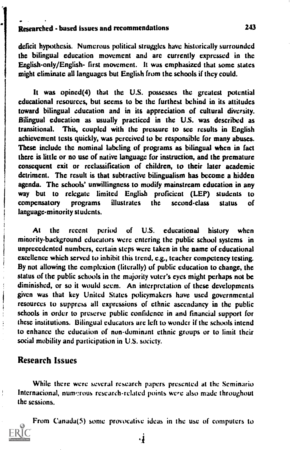#### Researched - based issues and recommendations 243

deficit hypothesis. Numerous political struggles have historically surrounded the bilingual education movement and arc currently expressed in the English-only/English- first movement. It was emphasized that some states might eliminate all languages but English from the schools if they could.

It was opined(4) that the U.S. possesses the greatest potential educational resources, but seems to be the furthest behind in its attitudes toward bilingual education and in its appreciation of cultural diversity. Bilingual education as usually practiced in the U.S. was described as transitional. This, coupled with the pressure to see results in English achievement tests quickly, was perceived to bc responsible for many abuses. These include thc nominal labeling of programs as bilingual when in fact there is little or no use of native language for instruction, and the premature consequent exit or reclassification of children, to their later academic detriment. The result is that subtractive bilingualism has become a hidden agenda. The schools' unwillingness to modify mainstream education in any way but to relegate limited English proficient (LEP) students to compensatory programs illustrates the second-class status of language-minority students.

At the recent period of U.S. educational history when minority-background educators were entering the public school systems in unprecedented numbers, certain steps were taken in the name of educational excellence which served to inhibit this trend, e.g., teacher competency testing. By not allowing the complexion (literally) of public education to change, the status of the public schools in the majority voter's eyes might perhaps not be diminished, or so it would seem. An interpretation of these developments given was that key United States policymakers have used governmental resources to suppress all expressions of ethnic ascendancy in the public schools in order to preserve public confidence in and financial support for these institutions. Bilingual educators are left to wonder if the schools intend to enhance the education of non-dominant ethnic groups or to limit their social mobility and participation in U.S. society.

### Research Issues

While there were several research papers presented at the Scminario Internacional, numerous research-related points were also made throughout the sessions.

From Canada(5) some provocative ideas in the use of computers to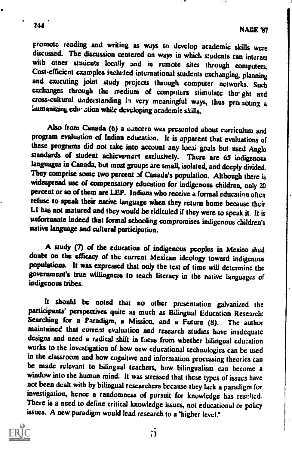promote reading and writing as ways to develop academic skills were discussed. The discussion centered on ways in which students can interact with other students locally and in remote sites through computers.<br>Cost-efficient examples included international students exchanging planning and executing joint study projects through computer networks. Such exchanges through the medium of computers stimulate tho ght and cross-cultural uaderstanding in very meaningful ways, thus pros noting <sup>a</sup> 'aumanizing ede-ation while developing academie skills.

Also from Canada (6) a concern was presented about curriculum and program evaluation of Indian education. It is apparent that evaluations of these programs did not take into account any locai goals but used Anglo standards of student achievemert exclusively. There are 65 indigenous languages in Canada, but most groups are small, isolated, and deeply divided.<br>They comprise some two percent of Canada's population. Although there is widespread use of compensatory education for indigenous children, only 20 percent or so of them arc LEP. Indians who receive a formal education often refuse to speak their native language when they return home because their LI has not matured and they would be ridiculed if they were to speak it. It is unfortunate indeed that formal schooling compromises indigenous children's native language and cultural participation.

A study (7) of the education of indigenous peoples in Mexico shed doubt on the efficacy of the current Mexican ideology toward indigenous populations. It was expressed that only the test of time will determine the government's true willingness to teach literacy in the native languages of indigenous tribes.

It should be noted that no other presentation galvanized the participants' perspectives quite as much as Bilingual Education Research: Searching for a Paradigm, a Mission, and a Future (8). The author<br>maintained that current evaluation and research studies have inadequate designs and need a radical shift in focus from whether bilingual education works to the investigation of how new educational technologies can be used<br>in the classroom and how cognitive and information processing theories can be made relevant to bilingual teachers, how bilingualism can become a window into the human mind, It was stressed that these types of issues have not been dealt with by bilingual researchers because they lack a paradigm for investigation, hence a randomness of pursuit for knowledge has resulted. There is a need to define critical knowledge issues, not educational or policy issues. A new paradigm would lead research to a "higher level."



244

5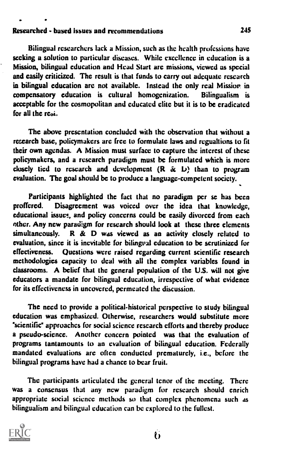### Researched - based issues and recommendations 245

Bilingual researchers lack a Mission, such as the health professions have seeking a solution to particular diseases. While excellence in education is a Mission, bilingual education and Head Start are missions, viewed as special and easily criticized. The result is that funds to carry out adequate research in bilingual education are not available. Instead the only real Mission in compensatory education is cultural homogenization. Bilingualism is compensatory education is cultural homogenization. acceptable for the cosmopolitan and educated elite but it is to be eradicated for all the  $rel.$ 

The above presentation concluded with the observation that without a research base, policymakers are free to formulate laws and regualtions to fit their own agendas. A Mission must surface to capture the interest of these policymakers, and a research paradigm must be formulated which is more closely tied to research and development  $(R \& L)$  than to program evaluation. The goal should be to produce a language-competent society.

Participants highlighted the fact that no paradigm per se has been proffered. Disagreement was voiced over the idea that knowledge, educational issues, and policy concerns could bc easily divorced from each other. Any new paradigm for research should look at these three elements simultaneously. R  $\&$  D was viewed as an activity closely related to evaluation, since it is inevitable for bilingual education to be scrutinized for effectiveness. Questions were raised regarding current scientific research methodologies capacity to deal with all the complex variables found in classrooms. A belief that the general population of the U.S. will not give educators a mandate for bilingual education, irrespective of what evidence for its effectiveness in uncovered, permeated the discussion.

The need to provide a political-historical perspective to study bilingual education was emphasized. Otherwise, researchers would substitute more "scientific" approaches for social science research efforts and thereby produce a pseudo-science. Another concern pointed was that the evaluation of programs tantamounts to an evaluation of bilingual education. Federally mandated evaluations are often conducted prematurely, i.e., before the bilingual programs have had a chance to bear fruit.

The participants articulated the general tenor of the meeting. There was a consensus that any new paradigm for research should enrich appropriate social science methods so that complex phenomena such as bilingualism and bilingual education can be explored to the fullest.

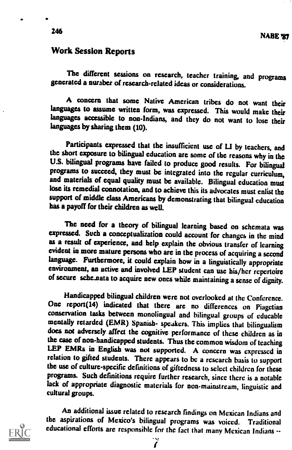### Work Session Reports

The different sessions on research, teacher training, and programs generated a number of research-related ideas or considerations.

A concern that some Native American tribes do not want their languages to assume written form, was expressed. This would make their languages accessible to non-Indians, and they do not want to lose their languages by sharing them (10).

Participants expressed that the insufficient use of LI by teachers, and the short exposure to bilingual education are some of the reasons why in the U.S. bilingual programs have failed to produce good results. For bilingual programs to succeed, they must be integrated into the regular curriculum, and materials of equal quality must be available. Bilingual education must lose its remedial connotation, and to achieve this its advocates must enlist the support of middle class Americans by demonstrating that bilingual education has a payoff for their children as well.

The need for a theory of bilingual learning bascd on schemata was expressed. Such a conceptualization could account for changes in the mind as a result of experience, and help explain the obvious transfer of learning evident in more mature persons who are in the process of acquiring a second language. Furthermore, it could explain how in a linguistically appropriate environment, an active and involved LEP student can use his/her repertoire of secure sche nata to acquire new ones while maintaining a sense of dignity.

Handicapped bilingual children were not overlooked at the Conference. One report(14) indicated that there are no differences on Piagetian conservation tasks between monolingual and bilingual groups of educable mentally retarded (EMR) Spanish- speakers. This implies that bilingualism does not adversely affect the cognitive performance of these children as in the case of non-handicapped students. Thus the common wisdom of teaching LEP EMRs in English was not supported. A concern was expressed in relation to gifted students. There appears to be a research basis to support the use of culture-specific definitions of giftedness to select children for these programs. Such definitions require further research, since there is a notable lack of appropriate diapostic materials for non-mainstream, linguistic and cultural groups.

An additional issue related to research findings on Mexican Indians and the aspirations of Mexico's bilingual programs was voiced. Traditional educational efforts are responsible for the fact that many Mexican Indians --

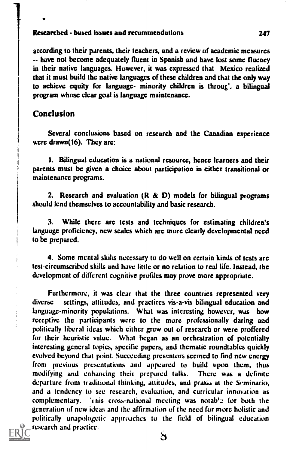#### Researched - based issues and recommendations 247

according to their parents, their teachers, and a review of academic measures -- have not become adequately fluent in Spanish and have lost some fluency in their native languages. However, it was expressed that Mexico realized that it must build the native languages of these children and that the only way to achieve equity for language- minority children is through a bilingual program whose clear goal is language maintenance.

### Conclusion

Several conclusions based on research and the Canadian experience were drawn(16). They arc:

I. Bilingual education is a national resource, hence learners and their parents must bc given a choice about participation in either transitional or maintenance programs.

2. Research and evaluation  $(R & D)$  models for bilingual programs should lend themselves to accountability and basic research.

3. While there arc tests and techniques for estimating children's language proficiency, new scales which are more clearly developmental need to be prepared.

4. Some mental skills necessary to do well on certain kinds of tcsts are test-circumscribed skills and have little or no relation to real life. Instead, the development of different cognitive profiles may prove more appropriate.

Furthermore, it was clear that the three countries represented very diverse settings, attitudes, and practices vis-a-vis bilingual education and settings, attitudes, and practices vis-a-vis bilingual education and language-minority populations. What was interesting however, was how receptive the participants were to the more professionally daring and politically liberal ideas which either grew out of research or were proffered for their heuristic value. What began as an orchestration of potentially interesting general topics, specific papers, and thematic roundtables quickly evolved beyond that point. Succeeding prescntors seemed to find new energy from previous presentations and appeared to build upon them, thus modifying and enhancing their prepared talks. There was a definite departure from traditional thinking, attitudes, and praxis at the Seminario, and a tendency to see research, evaluation, and curricular innovation as complementary. 't nis cross-national meeting was notab'e for both the generation of new ideas and the affirmation of the need for more holistic and politically unapologetic approaches to the field of bilingual education research and practice.